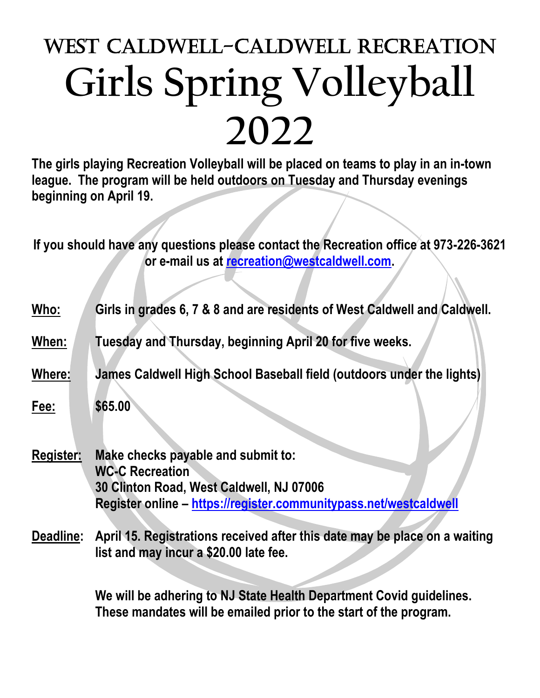## West Caldwell-Caldwell Recreation **Girls Spring Volleyball 2022**

**The girls playing Recreation Volleyball will be placed on teams to play in an in-town league. The program will be held outdoors on Tuesday and Thursday evenings beginning on April 19.**

**If you should have any questions please contact the Recreation office at 973-226-3621 or e-mail us at [recreation@westcaldwell.com.](mailto:recreation@westcaldwell.com)** 

- **Who: Girls in grades 6, 7 & 8 and are residents of West Caldwell and Caldwell.**
- **When: Tuesday and Thursday, beginning April 20 for five weeks.**
- **Where: James Caldwell High School Baseball field (outdoors under the lights)**
- **Fee: \$65.00**
- **Register: Make checks payable and submit to: WC-C Recreation 30 Clinton Road, West Caldwell, NJ 07006 Register online – <https://register.communitypass.net/westcaldwell>**
- **Deadline: April 15. Registrations received after this date may be place on a waiting list and may incur a \$20.00 late fee.**

**We will be adhering to NJ State Health Department Covid guidelines. These mandates will be emailed prior to the start of the program.**